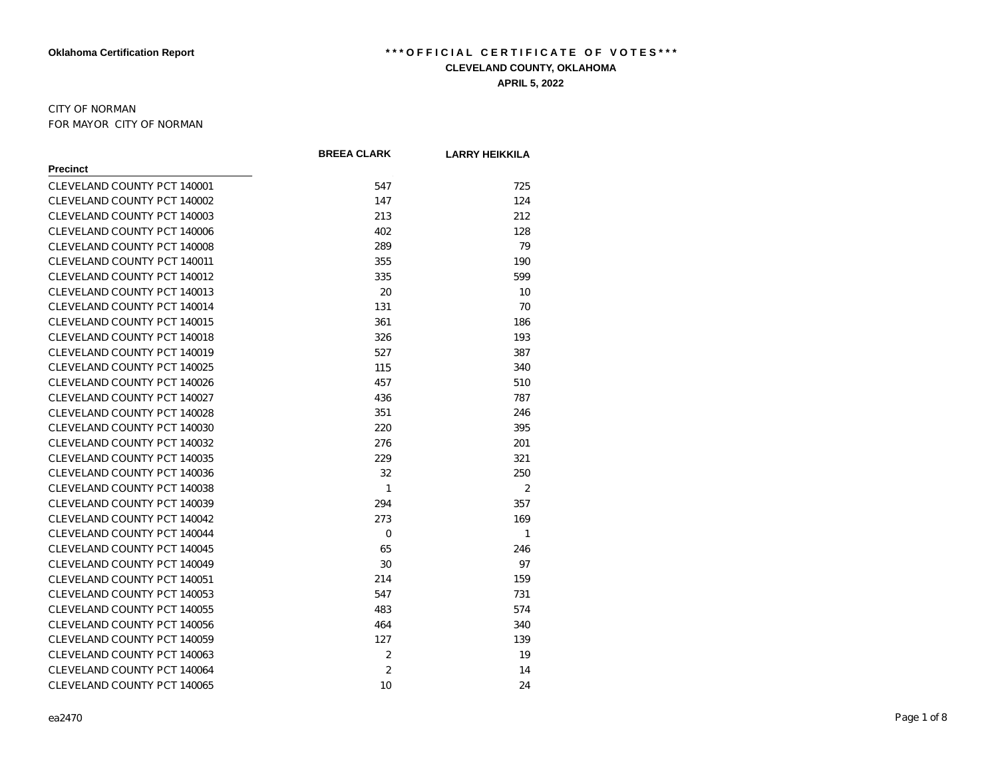#### CITY OF NORMAN FOR MAYOR CITY OF NORMAN

|                             | <b>BREEA CLARK</b> | <b>LARRY HEIKKILA</b> |
|-----------------------------|--------------------|-----------------------|
| <b>Precinct</b>             |                    |                       |
| CLEVELAND COUNTY PCT 140001 | 547                | 725                   |
| CLEVELAND COUNTY PCT 140002 | 147                | 124                   |
| CLEVELAND COUNTY PCT 140003 | 213                | 212                   |
| CLEVELAND COUNTY PCT 140006 | 402                | 128                   |
| CLEVELAND COUNTY PCT 140008 | 289                | 79                    |
| CLEVELAND COUNTY PCT 140011 | 355                | 190                   |
| CLEVELAND COUNTY PCT 140012 | 335                | 599                   |
| CLEVELAND COUNTY PCT 140013 | 20                 | 10                    |
| CLEVELAND COUNTY PCT 140014 | 131                | 70                    |
| CLEVELAND COUNTY PCT 140015 | 361                | 186                   |
| CLEVELAND COUNTY PCT 140018 | 326                | 193                   |
| CLEVELAND COUNTY PCT 140019 | 527                | 387                   |
| CLEVELAND COUNTY PCT 140025 | 115                | 340                   |
| CLEVELAND COUNTY PCT 140026 | 457                | 510                   |
| CLEVELAND COUNTY PCT 140027 | 436                | 787                   |
| CLEVELAND COUNTY PCT 140028 | 351                | 246                   |
| CLEVELAND COUNTY PCT 140030 | 220                | 395                   |
| CLEVELAND COUNTY PCT 140032 | 276                | 201                   |
| CLEVELAND COUNTY PCT 140035 | 229                | 321                   |
| CLEVELAND COUNTY PCT 140036 | 32                 | 250                   |
| CLEVELAND COUNTY PCT 140038 | 1                  | $\overline{2}$        |
| CLEVELAND COUNTY PCT 140039 | 294                | 357                   |
| CLEVELAND COUNTY PCT 140042 | 273                | 169                   |
| CLEVELAND COUNTY PCT 140044 | 0                  | 1                     |
| CLEVELAND COUNTY PCT 140045 | 65                 | 246                   |
| CLEVELAND COUNTY PCT 140049 | 30                 | 97                    |
| CLEVELAND COUNTY PCT 140051 | 214                | 159                   |
| CLEVELAND COUNTY PCT 140053 | 547                | 731                   |
| CLEVELAND COUNTY PCT 140055 | 483                | 574                   |
| CLEVELAND COUNTY PCT 140056 | 464                | 340                   |
| CLEVELAND COUNTY PCT 140059 | 127                | 139                   |
| CLEVELAND COUNTY PCT 140063 | $\overline{2}$     | 19                    |
| CLEVELAND COUNTY PCT 140064 | $\overline{2}$     | 14                    |
| CLEVELAND COUNTY PCT 140065 | 10                 | 24                    |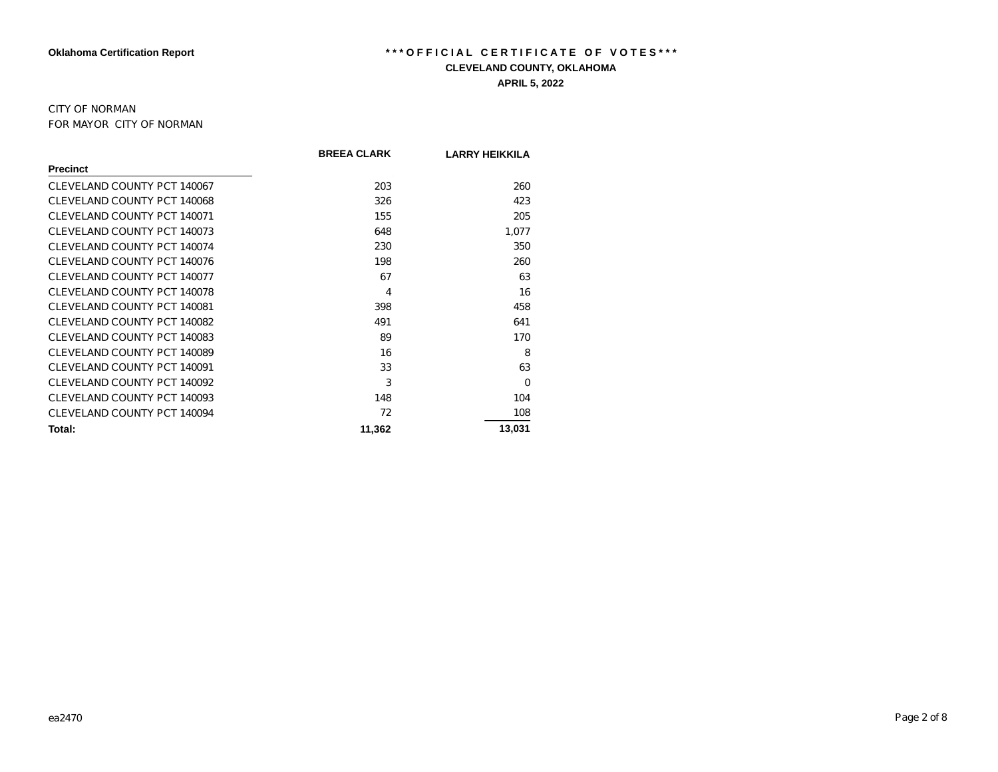#### CITY OF NORMAN FOR MAYOR CITY OF NORMAN

|                             | <b>BREEA CLARK</b> | <b>LARRY HEIKKILA</b> |
|-----------------------------|--------------------|-----------------------|
| <b>Precinct</b>             |                    |                       |
| CLEVELAND COUNTY PCT 140067 | 203                | 260                   |
| CLEVELAND COUNTY PCT 140068 | 326                | 423                   |
| CLEVELAND COUNTY PCT 140071 | 155                | 205                   |
| CLEVELAND COUNTY PCT 140073 | 648                | 1,077                 |
| CLEVELAND COUNTY PCT 140074 | 230                | 350                   |
| CLEVELAND COUNTY PCT 140076 | 198                | 260                   |
| CLEVELAND COUNTY PCT 140077 | 67                 | 63                    |
| CLEVELAND COUNTY PCT 140078 | 4                  | 16                    |
| CLEVELAND COUNTY PCT 140081 | 398                | 458                   |
| CLEVELAND COUNTY PCT 140082 | 491                | 641                   |
| CLEVELAND COUNTY PCT 140083 | 89                 | 170                   |
| CLEVELAND COUNTY PCT 140089 | 16                 | 8                     |
| CLEVELAND COUNTY PCT 140091 | 33                 | 63                    |
| CLEVELAND COUNTY PCT 140092 | 3                  | $\Omega$              |
| CLEVELAND COUNTY PCT 140093 | 148                | 104                   |
| CLEVELAND COUNTY PCT 140094 | 72                 | 108                   |
| Total:                      | 11,362             | 13,031                |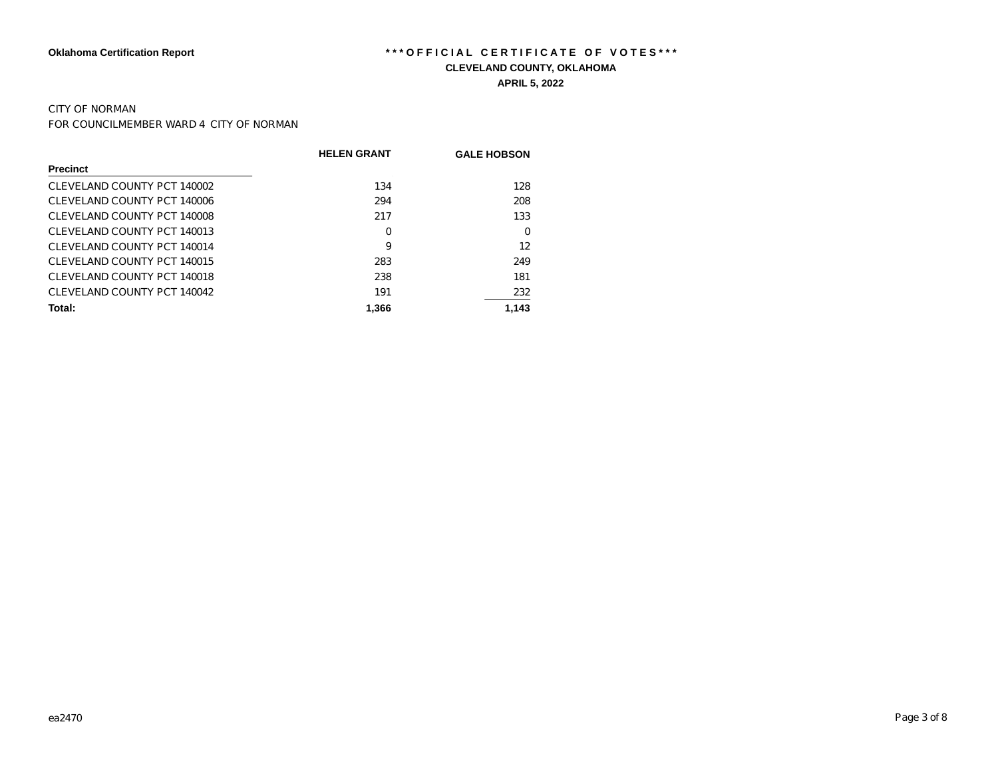#### CITY OF NORMAN

FOR COUNCILMEMBER WARD 4 CITY OF NORMAN

|                             | <b>HELEN GRANT</b> | <b>GALE HOBSON</b> |
|-----------------------------|--------------------|--------------------|
| <b>Precinct</b>             |                    |                    |
| CLEVELAND COUNTY PCT 140002 | 134                | 128                |
| CLEVELAND COUNTY PCT 140006 | 294                | 208                |
| CLEVELAND COUNTY PCT 140008 | 217                | 133                |
| CLEVELAND COUNTY PCT 140013 | 0                  | 0                  |
| CLEVELAND COUNTY PCT 140014 | 9                  | 12                 |
| CLEVELAND COUNTY PCT 140015 | 283                | 249                |
| CLEVELAND COUNTY PCT 140018 | 238                | 181                |
| CLEVELAND COUNTY PCT 140042 | 191                | 232                |
| Total:                      | 1.366              | 1,143              |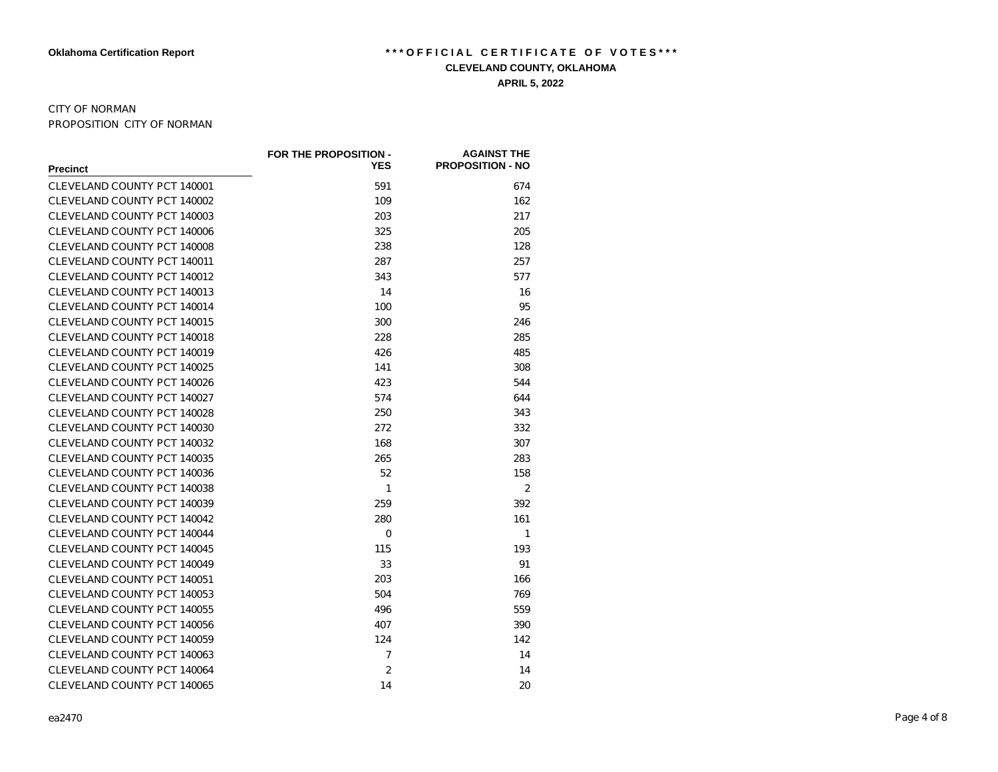#### CITY OF NORMAN PROPOSITION CITY OF NORMAN

|                             | FOR THE PROPOSITION - | <b>AGAINST THE</b>      |
|-----------------------------|-----------------------|-------------------------|
| <b>Precinct</b>             | <b>YES</b>            | <b>PROPOSITION - NO</b> |
| CLEVELAND COUNTY PCT 140001 | 591                   | 674                     |
| CLEVELAND COUNTY PCT 140002 | 109                   | 162                     |
| CLEVELAND COUNTY PCT 140003 | 203                   | 217                     |
| CLEVELAND COUNTY PCT 140006 | 325                   | 205                     |
| CLEVELAND COUNTY PCT 140008 | 238                   | 128                     |
| CLEVELAND COUNTY PCT 140011 | 287                   | 257                     |
| CLEVELAND COUNTY PCT 140012 | 343                   | 577                     |
| CLEVELAND COUNTY PCT 140013 | 14                    | 16                      |
| CLEVELAND COUNTY PCT 140014 | 100                   | 95                      |
| CLEVELAND COUNTY PCT 140015 | 300                   | 246                     |
| CLEVELAND COUNTY PCT 140018 | 228                   | 285                     |
| CLEVELAND COUNTY PCT 140019 | 426                   | 485                     |
| CLEVELAND COUNTY PCT 140025 | 141                   | 308                     |
| CLEVELAND COUNTY PCT 140026 | 423                   | 544                     |
| CLEVELAND COUNTY PCT 140027 | 574                   | 644                     |
| CLEVELAND COUNTY PCT 140028 | 250                   | 343                     |
| CLEVELAND COUNTY PCT 140030 | 272                   | 332                     |
| CLEVELAND COUNTY PCT 140032 | 168                   | 307                     |
| CLEVELAND COUNTY PCT 140035 | 265                   | 283                     |
| CLEVELAND COUNTY PCT 140036 | 52                    | 158                     |
| CLEVELAND COUNTY PCT 140038 | 1                     | $\overline{2}$          |
| CLEVELAND COUNTY PCT 140039 | 259                   | 392                     |
| CLEVELAND COUNTY PCT 140042 | 280                   | 161                     |
| CLEVELAND COUNTY PCT 140044 | $\Omega$              | 1                       |
| CLEVELAND COUNTY PCT 140045 | 115                   | 193                     |
| CLEVELAND COUNTY PCT 140049 | 33                    | 91                      |
| CLEVELAND COUNTY PCT 140051 | 203                   | 166                     |
| CLEVELAND COUNTY PCT 140053 | 504                   | 769                     |
| CLEVELAND COUNTY PCT 140055 | 496                   | 559                     |
| CLEVELAND COUNTY PCT 140056 | 407                   | 390                     |
| CLEVELAND COUNTY PCT 140059 | 124                   | 142                     |
| CLEVELAND COUNTY PCT 140063 | 7                     | 14                      |
| CLEVELAND COUNTY PCT 140064 | 2                     | 14                      |
| CLEVELAND COUNTY PCT 140065 | 14                    | 20                      |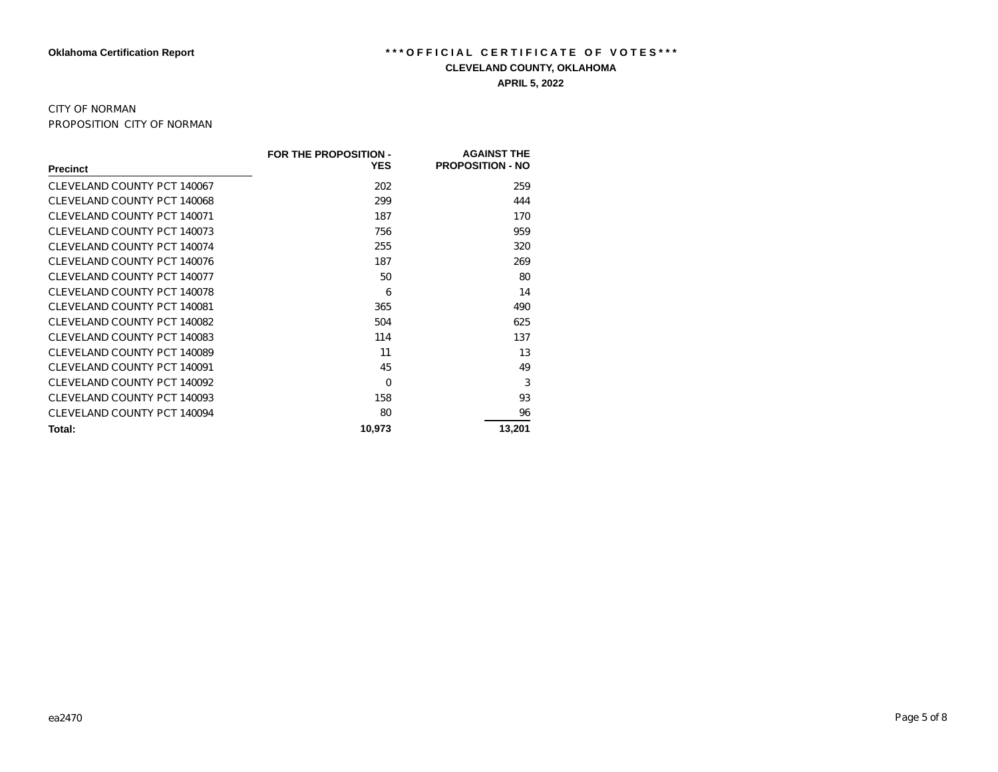#### CITY OF NORMAN PROPOSITION CITY OF NORMAN

|                             | FOR THE PROPOSITION - | <b>AGAINST THE</b>      |
|-----------------------------|-----------------------|-------------------------|
| <b>Precinct</b>             | <b>YES</b>            | <b>PROPOSITION - NO</b> |
| CLEVELAND COUNTY PCT 140067 | 202                   | 259                     |
| CLEVELAND COUNTY PCT 140068 | 299                   | 444                     |
| CLEVELAND COUNTY PCT 140071 | 187                   | 170                     |
| CLEVELAND COUNTY PCT 140073 | 756                   | 959                     |
| CLEVELAND COUNTY PCT 140074 | 255                   | 320                     |
| CLEVELAND COUNTY PCT 140076 | 187                   | 269                     |
| CLEVELAND COUNTY PCT 140077 | 50                    | 80                      |
| CLEVELAND COUNTY PCT 140078 | 6                     | 14                      |
| CLEVELAND COUNTY PCT 140081 | 365                   | 490                     |
| CLEVELAND COUNTY PCT 140082 | 504                   | 625                     |
| CLEVELAND COUNTY PCT 140083 | 114                   | 137                     |
| CLEVELAND COUNTY PCT 140089 | 11                    | 13                      |
| CLEVELAND COUNTY PCT 140091 | 45                    | 49                      |
| CLEVELAND COUNTY PCT 140092 | $\Omega$              | 3                       |
| CLEVELAND COUNTY PCT 140093 | 158                   | 93                      |
| CLEVELAND COUNTY PCT 140094 | 80                    | 96                      |
| Total:                      | 10,973                | 13,201                  |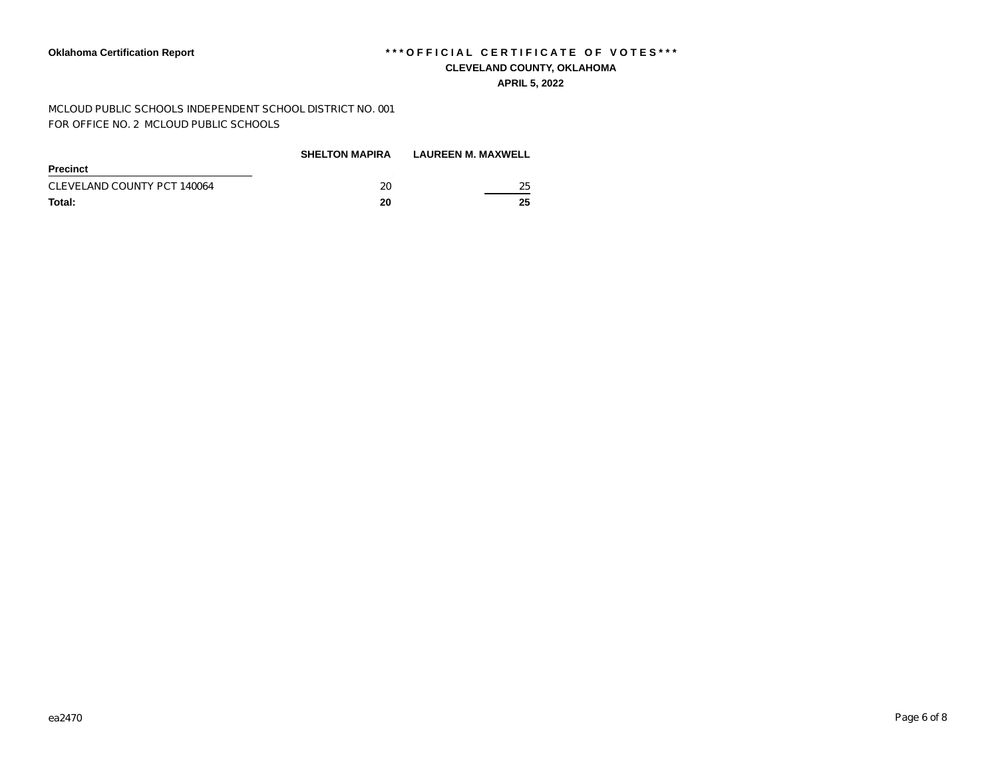#### **APRIL 5, 2022**

MCLOUD PUBLIC SCHOOLS INDEPENDENT SCHOOL DISTRICT NO. 001 FOR OFFICE NO. 2 MCLOUD PUBLIC SCHOOLS

|                             | <b>SHELTON MAPIRA</b> | <b>LAUREEN M. MAXWELL</b> |
|-----------------------------|-----------------------|---------------------------|
| Precinct                    |                       |                           |
| CLEVELAND COUNTY PCT 140064 | 20                    | 25                        |
| Total:                      | 20                    | 25                        |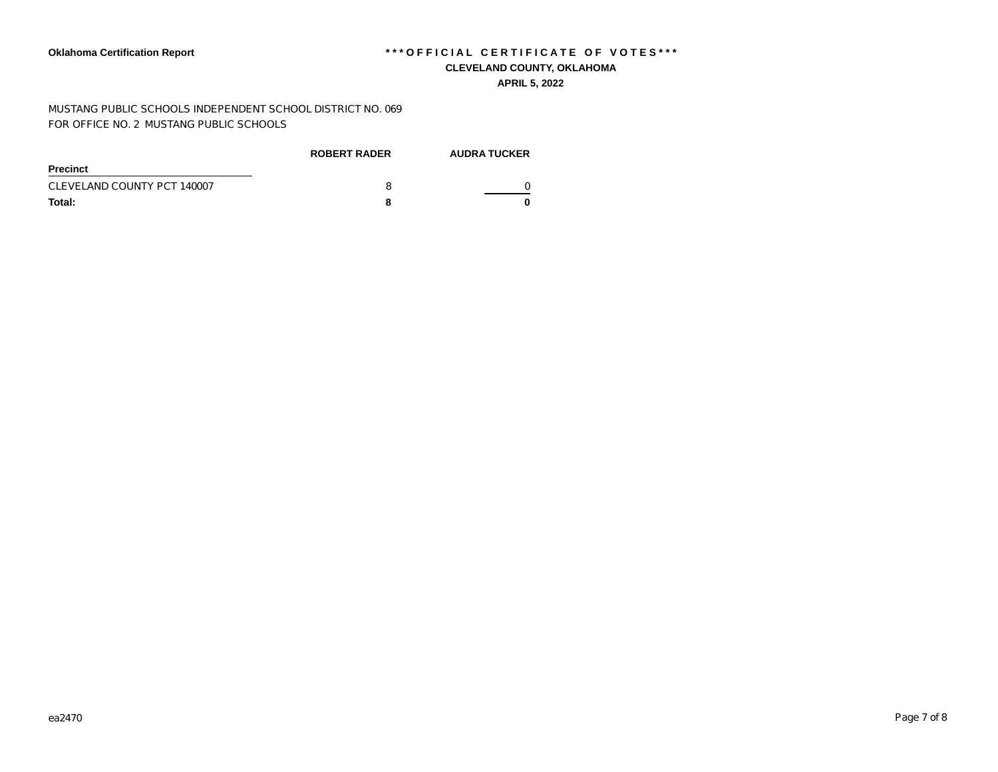MUSTANG PUBLIC SCHOOLS INDEPENDENT SCHOOL DISTRICT NO. 069 FOR OFFICE NO. 2 MUSTANG PUBLIC SCHOOLS

|                             | <b>ROBERT RADER</b> | <b>AUDRA TUCKER</b> |
|-----------------------------|---------------------|---------------------|
| Precinct                    |                     |                     |
| CLEVELAND COUNTY PCT 140007 |                     |                     |
| Total:                      |                     |                     |